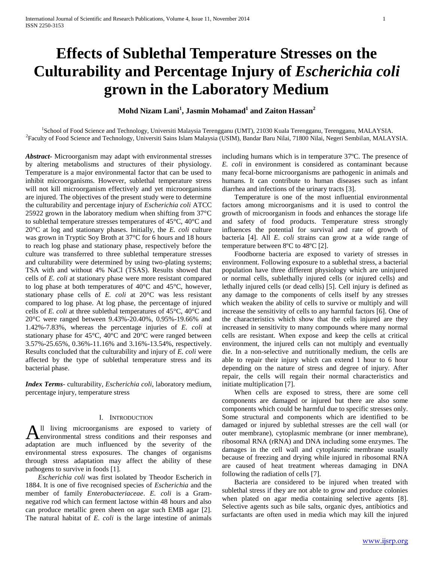# **Effects of Sublethal Temperature Stresses on the Culturability and Percentage Injury of** *Escherichia coli*  **grown in the Laboratory Medium**

**Mohd Nizam Lani<sup>1</sup> , Jasmin Mohamad<sup>1</sup> and Zaiton Hassan<sup>2</sup>**

1 School of Food Science and Technology, Universiti Malaysia Terengganu (UMT), 21030 Kuala Terengganu, Terengganu, MALAYSIA. 2 Faculty of Food Science and Technology, Universiti Sains Islam Malaysia (USIM), Bandar Baru Nilai, 71800 Nilai, Negeri Sembilan, MALAYSIA.

*Abstract***-** Microorganism may adapt with environmental stresses by altering metabolisms and structures of their physiology. Temperature is a major environmental factor that can be used to inhibit microorganisms. However, sublethal temperature stress will not kill microorganism effectively and yet microorganisms are injured. The objectives of the present study were to determine the culturability and percentage injury of *Escherichia coli* ATCC 25922 grown in the laboratory medium when shifting from 37°C to sublethal temperature stresses temperatures of 45°C, 40°C and 20°C at log and stationary phases. Initially, the *E. coli* culture was grown in Tryptic Soy Broth at 37°C for 6 hours and 18 hours to reach log phase and stationary phase, respectively before the culture was transferred to three sublethal temperature stresses and culturability were determined by using two-plating systems; TSA with and without 4% NaCl (TSAS). Results showed that cells of *E. coli* at stationary phase were more resistant compared to log phase at both temperatures of 40°C and 45°C, however, stationary phase cells of *E. coli* at 20°C was less resistant compared to log phase. At log phase, the percentage of injured cells of *E. coli* at three sublethal temperatures of 45°C, 40°C and 20°C were ranged between 9.43%-20.40%, 0.95%-19.66% and 1.42%-7.83%, whereas the percentage injuries of *E. coli* at stationary phase for 45°C, 40°C and 20°C were ranged between 3.57%-25.65%, 0.36%-11.16% and 3.16%-13.54%, respectively. Results concluded that the culturability and injury of *E. coli* were affected by the type of sublethal temperature stress and its bacterial phase.

*Index Terms*- culturability, *Escherichia coli*, laboratory medium, percentage injury, temperature stress

## I. INTRODUCTION

ll living microorganisms are exposed to variety of environmental stress conditions and their responses and All living microorganisms are exposed to variety of environmental stress conditions and their responses and adaptation are much influenced by the severity of the environmental stress exposures. The changes of organisms through stress adaptation may affect the ability of these pathogens to survive in foods [1].

 *Escherichia coli* was first isolated by Theodor Escherich in 1884. It is one of five recognised species of *Escherichia* and the member of family *Enterobacteriaceae*. *E. coli* is a Gramnegative rod which can ferment lactose within 48 hours and also can produce metallic green sheen on agar such EMB agar [2]. The natural habitat of *E. coli* is the large intestine of animals

including humans which is in temperature 37ºC. The presence of *E. coli* in environment is considered as contaminant because many fecal-borne microorganisms are pathogenic in animals and humans. It can contribute to human diseases such as infant diarrhea and infections of the urinary tracts [3].

 Temperature is one of the most influential environmental factors among microorganisms and it is used to control the growth of microorganism in foods and enhances the storage life and safety of food products. Temperature stress strongly influences the potential for survival and rate of growth of bacteria [4]. All *E. coli* strains can grow at a wide range of temperature between 8ºC to 48ºC [2].

 Foodborne bacteria are exposed to variety of stresses in environment. Following exposure to a sublethal stress, a bacterial population have three different physiology which are uninjured or normal cells, sublethally injured cells (or injured cells) and lethally injured cells (or dead cells) [5]. Cell injury is defined as any damage to the components of cells itself by any stresses which weaken the ability of cells to survive or multiply and will increase the sensitivity of cells to any harmful factors [6]. One of the characteristics which show that the cells injured are they increased in sensitivity to many compounds where many normal cells are resistant. When expose and keep the cells at critical environment, the injured cells can not multiply and eventually die. In a non-selective and nutritionally medium, the cells are able to repair their injury which can extend 1 hour to 6 hour depending on the nature of stress and degree of injury. After repair, the cells will regain their normal characteristics and initiate multiplication [7].

 When cells are exposed to stress, there are some cell components are damaged or injured but there are also some components which could be harmful due to specific stresses only. Some structural and components which are identified to be damaged or injured by sublethal stresses are the cell wall (or outer membrane), cytoplasmic membrane (or inner membrane), ribosomal RNA (rRNA) and DNA including some enzymes. The damages in the cell wall and cytoplasmic membrane usually because of freezing and drying while injured in ribosomal RNA are caused of heat treatment whereas damaging in DNA following the radiation of cells [7].

 Bacteria are considered to be injured when treated with sublethal stress if they are not able to grow and produce colonies when plated on agar media containing selective agents [8]. Selective agents such as bile salts, organic dyes, antibiotics and surfactants are often used in media which may kill the injured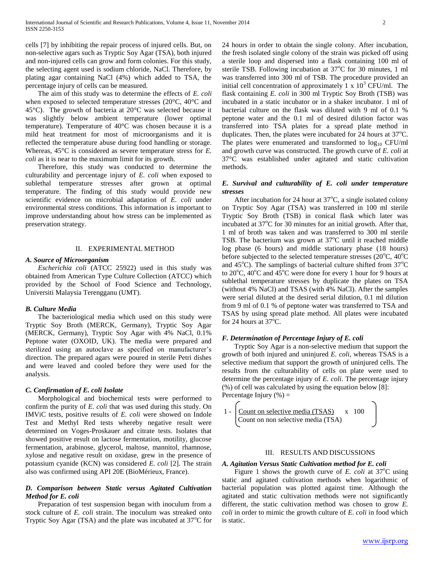cells [7] by inhibiting the repair process of injured cells. But, on non-selective agars such as Tryptic Soy Agar (TSA), both injured and non-injured cells can grow and form colonies. For this study, the selecting agent used is sodium chloride, NaCl. Therefore, by plating agar containing NaCl (4%) which added to TSA, the percentage injury of cells can be measured.

 The aim of this study was to determine the effects of *E. coli*  when exposed to selected temperature stresses (20°C, 40°C and 45°C). The growth of bacteria at 20°C was selected because it was slightly below ambient temperature (lower optimal temperature). Temperature of 40°C was chosen because it is a mild heat treatment for most of microorganisms and it is reflected the temperature abuse during food handling or storage. Whereas, 45°C is considered as severe temperature stress for *E. coli* as it is near to the maximum limit for its growth.

 Therefore, this study was conducted to determine the culturability and percentage injury of *E. coli* when exposed to sublethal temperature stresses after grown at optimal temperature. The finding of this study would provide new scientific evidence on microbial adaptation of *E. coli* under environmental stress conditions. This information is important to improve understanding about how stress can be implemented as preservation strategy.

### II. EXPERIMENTAL METHOD

## *A. Source of Microorganism*

 *Escherichia coli* (ATCC 25922) used in this study was obtained from American Type Culture Collection (ATCC) which provided by the School of Food Science and Technology, Universiti Malaysia Terengganu (UMT).

## *B. Culture Media*

 The bacteriological media which used on this study were Tryptic Soy Broth (MERCK, Germany), Tryptic Soy Agar (MERCK, Germany), Tryptic Soy Agar with 4% NaCl, 0.1% Peptone water (OXOID, UK). The media were prepared and sterilized using an autoclave as specified on manufacturer's direction. The prepared agars were poured in sterile Petri dishes and were leaved and cooled before they were used for the analysis.

## *C. Confirmation of E. coli Isolate*

 Morphological and biochemical tests were performed to confirm the purity of *E. coli* that was used during this study. On IMViC tests, positive results of *E. coli* were showed on Indole Test and Methyl Red tests whereby negative result were determined on Voges-Proskauer and citrate tests. Isolates that showed positive result on lactose fermentation, motility, glucose fermentation, arabinose, glycerol, maltose, mannitol, rhamnose, xylose and negative result on oxidase, grew in the presence of potassium cyanide (KCN) was considered *E. coli* [2]. The strain also was confirmed using API 20E (BioMérieux, France).

# *D. Comparison between Static versus Agitated Cultivation Method for E. coli*

 Preparation of test suspension began with inoculum from a stock culture of *E. coli* strain. The inoculum was streaked onto Tryptic Soy Agar (TSA) and the plate was incubated at  $37^{\circ}$ C for 24 hours in order to obtain the single colony. After incubation, the fresh isolated single colony of the strain was picked off using a sterile loop and dispersed into a flask containing 100 ml of sterile TSB. Following incubation at 37°C for 30 minutes, 1 ml was transferred into 300 ml of TSB. The procedure provided an initial cell concentration of approximately 1 x  $10<sup>3</sup>$  CFU/ml. The flask containing *E. coli* in 300 ml Tryptic Soy Broth (TSB) was incubated in a static incubator or in a shaker incubator. 1 ml of bacterial culture on the flask was diluted with 9 ml of 0.1 % peptone water and the 0.1 ml of desired dilution factor was transferred into TSA plates for a spread plate method in duplicates. Then, the plates were incubated for 24 hours at  $37^{\circ}$ C. The plates were enumerated and transformed to  $log_{10}$  CFU/ml and growth curve was constructed. The growth curve of *E. coli* at 37°C was established under agitated and static cultivation methods.

## *E. Survival and culturability of E. coli under temperature stresses*

After incubation for 24 hour at  $37^{\circ}$ C, a single isolated colony on Tryptic Soy Agar (TSA) was transferred in 100 ml sterile Tryptic Soy Broth (TSB) in conical flask which later was incubated at  $37^{\circ}$ C for 30 minutes for an initial growth. After that, 1 ml of broth was taken and was transferred to 300 ml sterile TSB. The bacterium was grown at  $37^{\circ}$ C until it reached middle log phase (6 hours) and middle stationary phase (18 hours) before subjected to the selected temperature stresses  $(20^{\circ}C, 40^{\circ}C)$ and  $45^{\circ}$ C). The samplings of bacterial culture shifted from  $37^{\circ}$ C to  $20^{\circ}$ C,  $40^{\circ}$ C and  $45^{\circ}$ C were done for every 1 hour for 9 hours at sublethal temperature stresses by duplicate the plates on TSA (without 4% NaCl) and TSAS (with 4% NaCl). After the samples were serial diluted at the desired serial dilution, 0.1 ml dilution from 9 ml of 0.1 % of peptone water was transferred to TSA and TSAS by using spread plate method. All plates were incubated for 24 hours at  $37^{\circ}$ C.

## *F. Determination of Percentage Injury of E. coli*

 Tryptic Soy Agar is a non-selective medium that support the growth of both injured and uninjured *E. coli*, whereas TSAS is a selective medium that support the growth of uninjured cells. The results from the culturability of cells on plate were used to determine the percentage injury of *E. coli*. The percentage injury (%) of cell was calculated by using the equation below [8]: Percentage Injury  $(\% )$  =

$$
1 - \begin{bmatrix} \underline{\text{Count on selective media (TSAS)}} & x & 100 \\ \text{Count on non selective media (TSA)} & \end{bmatrix}
$$

# III. RESULTS AND DISCUSSIONS

## *A. Agitation Versus Static Cultivation method for E. coli*

Figure 1 shows the growth curve of  $E$ . *coli* at  $37^{\circ}$ C using static and agitated cultivation methods when logarithmic of bacterial population was plotted against time. Although the agitated and static cultivation methods were not significantly different, the static cultivation method was chosen to grow *E. coli* in order to mimic the growth culture of *E. coli* in food which is static.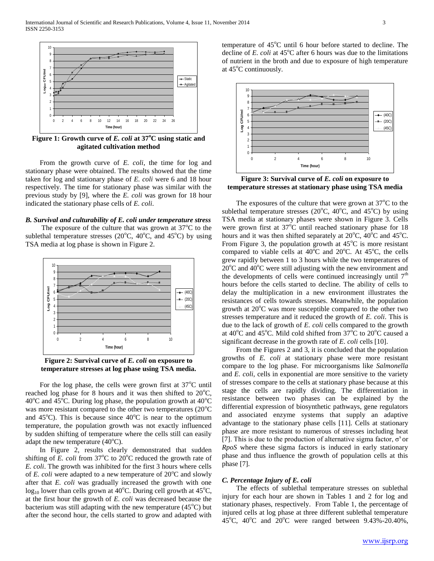

**Figure 1: Growth curve of** *E. coli* **at 37<sup>o</sup>C using static and agitated cultivation method**

 From the growth curve of *E. coli*, the time for log and stationary phase were obtained. The results showed that the time taken for log and stationary phase of *E. coli* were 6 and 18 hour respectively. The time for stationary phase was similar with the previous study by [9], where the *E. coli* was grown for 18 hour indicated the stationary phase cells of *E. coli*.

#### *B. Survival and culturability of E. coli under temperature stress*

The exposure of the culture that was grown at  $37^{\circ}$ C to the sublethal temperature stresses ( $20^{\circ}$ C,  $40^{\circ}$ C, and  $45^{\circ}$ C) by using TSA media at log phase is shown in Figure 2.



**Figure 2: Survival curve of** *E. coli* **on exposure to temperature stresses at log phase using TSA media.**

For the log phase, the cells were grown first at  $37^{\circ}$ C until reached log phase for 8 hours and it was then shifted to  $20^{\circ}$ C,  $40^{\circ}$ C and  $45^{\circ}$ C. During log phase, the population growth at  $40^{\circ}$ C was more resistant compared to the other two temperatures  $(20^{\circ}C)$ and  $45^{\circ}$ C). This is because since  $40^{\circ}$ C is near to the optimum temperature, the population growth was not exactly influenced by sudden shifting of temperature where the cells still can easily adapt the new temperature  $(40^{\circ}C)$ .

 In Figure 2, results clearly demonstrated that sudden shifting of *E. coli* from  $37^{\circ}$ C to  $20^{\circ}$ C reduced the growth rate of *E. coli*. The growth was inhibited for the first 3 hours where cells of *E. coli* were adapted to a new temperature of  $20^{\circ}$ C and slowly after that *E. coli* was gradually increased the growth with one  $log_{10}$  lower than cells grown at 40<sup>o</sup>C. During cell growth at 45<sup>o</sup>C, at the first hour the growth of *E. coli* was decreased because the bacterium was still adapting with the new temperature  $(45^{\circ}C)$  but after the second hour, the cells started to grow and adapted with temperature of  $45^{\circ}$ C until 6 hour before started to decline. The decline of  $E$ . *coli* at  $45^{\circ}$ C after 6 hours was due to the limitations of nutrient in the broth and due to exposure of high temperature at  $45^{\circ}$ C continuously.



**Figure 3: Survival curve of** *E. coli* **on exposure to temperature stresses at stationary phase using TSA media**

The exposures of the culture that were grown at  $37^{\circ}$ C to the sublethal temperature stresses ( $20^{\circ}$ C,  $40^{\circ}$ C, and  $45^{\circ}$ C) by using TSA media at stationary phases were shown in Figure 3. Cells were grown first at  $37^{\circ}$ C until reached stationary phase for 18 hours and it was then shifted separately at  $20^{\circ}$ C,  $40^{\circ}$ C and  $45^{\circ}$ C. From Figure 3, the population growth at  $45^{\circ}$ C is more resistant compared to viable cells at  $40^{\circ}$ C and  $20^{\circ}$ C. At  $45^{\circ}$ C, the cells grew rapidly between 1 to 3 hours while the two temperatures of  $20^{\circ}$ C and  $40^{\circ}$ C were still adjusting with the new environment and the developments of cells were continued increasingly until  $7<sup>th</sup>$ hours before the cells started to decline. The ability of cells to delay the multiplication in a new environment illustrates the resistances of cells towards stresses. Meanwhile, the population growth at  $20^{\circ}$ C was more susceptible compared to the other two stresses temperature and it reduced the growth of *E. coli*. This is due to the lack of growth of *E. coli* cells compared to the growth at  $40^{\circ}$ C and  $45^{\circ}$ C. Mild cold shifted from  $37^{\circ}$ C to  $20^{\circ}$ C caused a significant decrease in the growth rate of *E. coli* cells [10].

 From the Figures 2 and 3, it is concluded that the population growths of *E. coli* at stationary phase were more resistant compare to the log phase. For microorganisms like *Salmonella* and *E. coli*, cells in exponential are more sensitive to the variety of stresses compare to the cells at stationary phase because at this stage the cells are rapidly dividing. The differentiation in resistance between two phases can be explained by the differential expression of biosynthetic pathways, gene regulators and associated enzyme systems that supply an adaptive advantage to the stationary phase cells [11]. Cells at stationary phase are more resistant to numerous of stresses including heat [7]. This is due to the production of alternative sigma factor,  $\sigma^s$  or *RpoS* where these sigma factors is induced in early stationary phase and thus influence the growth of population cells at this phase [7].

## *C. Percentage Injury of E. coli*

 The effects of sublethal temperature stresses on sublethal injury for each hour are shown in Tables 1 and 2 for log and stationary phases, respectively. From Table 1, the percentage of injured cells at log phase at three different sublethal temperature 45<sup>o</sup>C, 40<sup>o</sup>C and 20<sup>o</sup>C were ranged between 9.43%-20.40%,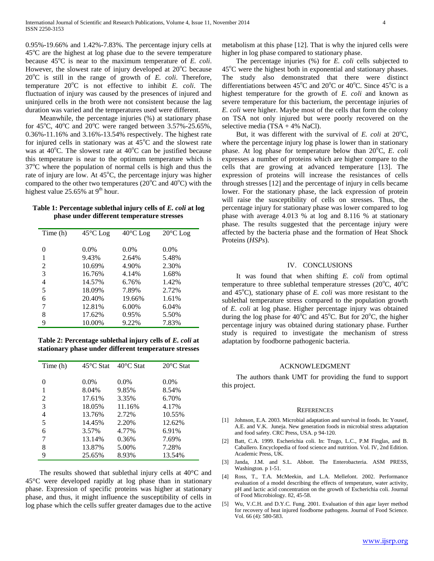0.95%-19.66% and 1.42%-7.83%. The percentage injury cells at  $45^{\circ}$ C are the highest at log phase due to the severe temperature because 45<sup>o</sup>C is near to the maximum temperature of *E. coli.* However, the slowest rate of injury developed at  $20^{\circ}$ C because  $20^{\circ}$ C is still in the range of growth of *E. coli.* Therefore, temperature 20°C is not effective to inhibit *E. coli*. The fluctuation of injury was caused by the presences of injured and uninjured cells in the broth were not consistent because the lag duration was varied and the temperatures used were different.

 Meanwhile, the percentage injuries (%) at stationary phase for 45<sup>o</sup>C, 40<sup>o</sup>C and 20<sup>o</sup>C were ranged between 3.57%-25.65%, 0.36%-11.16% and 3.16%-13.54% respectively. The highest rate for injured cells in stationary was at  $45^{\circ}$ C and the slowest rate was at  $40^{\circ}$ C. The slowest rate at  $40^{\circ}$ C can be justified because this temperature is near to the optimum temperature which is  $37^{\circ}$ C where the population of normal cells is high and thus the rate of injury are low. At  $45^{\circ}$ C, the percentage injury was higher compared to the other two temperatures ( $20^{\circ}$ C and  $40^{\circ}$ C) with the highest value  $25.65\%$  at  $9<sup>th</sup>$  hour.

| Table 1: Percentage sublethal injury cells of E. coli at log |
|--------------------------------------------------------------|
| phase under different temperature stresses                   |

| Time (h) | $45^{\circ}$ C Log | $40^{\circ}$ C Log | $20^{\circ}$ C Log |
|----------|--------------------|--------------------|--------------------|
|          |                    |                    |                    |
|          |                    |                    |                    |
| $\theta$ | $0.0\%$            | $0.0\%$            | $0.0\%$            |
| 1        | 9.43%              | 2.64%              | 5.48%              |
| 2        | 10.69%             | 4.90%              | 2.30%              |
| 3        | 16.76%             | 4.14%              | 1.68%              |
| 4        | 14.57%             | 6.76%              | 1.42%              |
| 5        | 18.09%             | 7.89%              | 2.72%              |
| 6        | 20.40%             | 19.66%             | 1.61%              |
| 7        | 12.81%             | 6.00%              | 6.04%              |
| 8        | 17.62%             | 0.95%              | 5.50%              |
| 9        | 10.00%             | 9.22%              | 7.83%              |

**Table 2: Percentage sublethal injury cells of** *E. coli* **at stationary phase under different temperature stresses**

| Time (h) | $45^{\circ}$ C Stat | $40^{\circ}$ C Stat | $20^{\circ}$ C Stat |
|----------|---------------------|---------------------|---------------------|
|          |                     |                     |                     |
| 0        | $0.0\%$             | $0.0\%$             | $0.0\%$             |
| 1        | 8.04%               | 9.85%               | 8.54%               |
| 2        | 17.61%              | 3.35%               | 6.70%               |
| 3        | 18.05%              | 11.16%              | 4.17%               |
| 4        | 13.76%              | 2.72%               | 10.55%              |
| 5        | 14.45%              | 2.20%               | 12.62%              |
| 6        | 3.57%               | 4.77%               | 6.91%               |
| 7        | 13.14%              | 0.36%               | 7.69%               |
| 8        | 13.87%              | 5.00%               | 7.28%               |
| 9        | 25.65%              | 8.93%               | 13.54%              |

 The results showed that sublethal injury cells at 40°C and 45°C were developed rapidly at log phase than in stationary phase. Expression of specific proteins was higher at stationary phase, and thus, it might influence the susceptibility of cells in log phase which the cells suffer greater damages due to the active metabolism at this phase [12]. That is why the injured cells were higher in log phase compared to stationary phase.

 The percentage injuries (%) for *E. coli* cells subjected to  $45^{\circ}$ C were the highest both in exponential and stationary phases. The study also demonstrated that there were distinct differentiations between 45<sup>o</sup>C and 20<sup>o</sup>C or 40<sup>o</sup>C. Since 45<sup>o</sup>C is a highest temperature for the growth of *E. coli* and known as severe temperature for this bacterium, the percentage injuries of *E. coli* were higher. Maybe most of the cells that form the colony on TSA not only injured but were poorly recovered on the selective media (TSA + 4% NaCl).

But, it was different with the survival of  $E$ , coli at  $20^{\circ}$ C, where the percentage injury log phase is lower than in stationary phase. At log phase for temperature below than 20<sup>o</sup>C, *E. coli* expresses a number of proteins which are higher compare to the cells that are growing at advanced temperature [13]. The expression of proteins will increase the resistances of cells through stresses [12] and the percentage of injury in cells became lower. For the stationary phase, the lack expression of protein will raise the susceptibility of cells on stresses. Thus, the percentage injury for stationary phase was lower compared to log phase with average 4.013 % at log and 8.116 % at stationary phase. The results suggested that the percentage injury were affected by the bacteria phase and the formation of Heat Shock Proteins (*HSPs*).

## IV. CONCLUSIONS

 It was found that when shifting *E. coli* from optimal temperature to three sublethal temperature stresses ( $20^{\circ}$ C,  $40^{\circ}$ C and  $45^{\circ}$ C), stationary phase of *E. coli* was more resistant to the sublethal temperature stress compared to the population growth of *E. coli* at log phase. Higher percentage injury was obtained during the log phase for  $40^{\circ}$ C and  $45^{\circ}$ C. But for  $20^{\circ}$ C, the higher percentage injury was obtained during stationary phase. Further study is required to investigate the mechanism of stress adaptation by foodborne pathogenic bacteria.

## ACKNOWLEDGMENT

 The authors thank UMT for providing the fund to support this project.

#### **REFERENCES**

- [1] Johnson, E.A. 2003. Microbial adaptation and survival in foods. In: Yousef, A.E. and V.K. Juneja. New generation foods in microbial stress adaptation and food safety. CRC Press, USA. p 94-120.
- [2] Batt, C.A. 1999. Escherichia coli. In: Trugo, L.C., P.M Finglas, and B. Caballero. Encyclopedia of food science and nutrition. Vol. IV, 2nd Edition. Academic Press, UK.
- [3] Janda, J.M. and S.L. Abbott. The Enterobacteria. ASM PRESS, Washington. p 1-51.
- [4] Ross, T., T.A. McMeekin, and L.A. Mellefont. 2002. Performance evaluation of a model describing the effects of temperature, water activity, pH and lactic acid concentration on the growth of Escherichia coli. Journal of Food Microbiology. 82, 45-58.
- [5] Wu, V.C.H. and D.Y.C. Fung. 2001. Evaluation of thin agar layer method for recovery of heat injured foodborne pathogens. Journal of Food Science. Vol. 66 (4): 580-583.